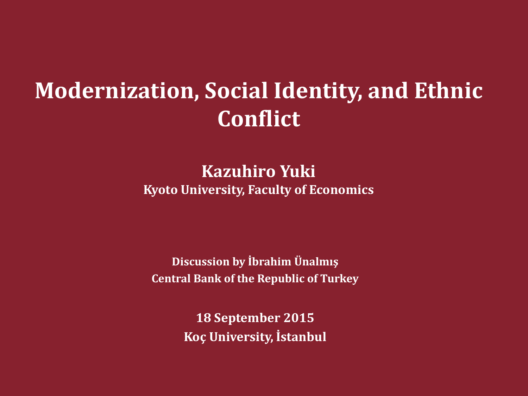# **Modernization, Social Identity, and Ethnic Conflict**

#### **Kazuhiro Yuki**

**Kyoto University, Faculty of Economics**

**Discussion by İbrahim Ünalmış Central Bank of the Republic of Turkey**

> **18 September 2015 Koç University, İstanbul**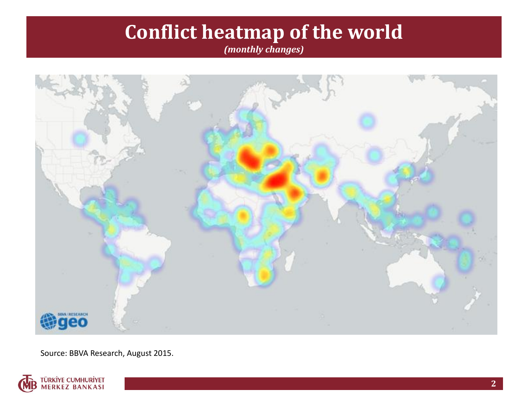## **Conflict heatmap of the world**

*(monthly changes)*



Source: BBVA Research, August 2015.

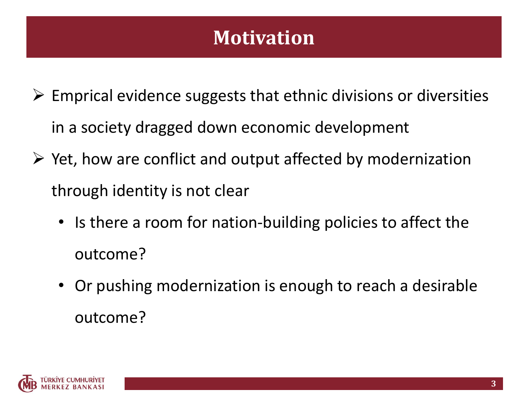#### **Motivation**

- $\triangleright$  Emprical evidence suggests that ethnic divisions or diversities in a society dragged down economic development
- $\triangleright$  Yet, how are conflict and output affected by modernization through identity is not clear
	- Is there a room for nation-building policies to affect the outcome?
	- Or pushing modernization is enough to reach a desirable outcome?

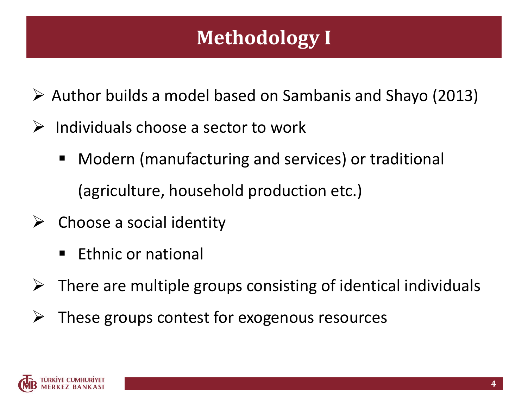## **Methodology I**

- $\triangleright$  Author builds a model based on Sambanis and Shayo (2013)
- Individuals choose a sector to work
	- Modern (manufacturing and services) or traditional (agriculture, household production etc.)
- $\triangleright$  Choose a social identity
	- Ethnic or national
- $\triangleright$  There are multiple groups consisting of identical individuals
- These groups contest for exogenous resources

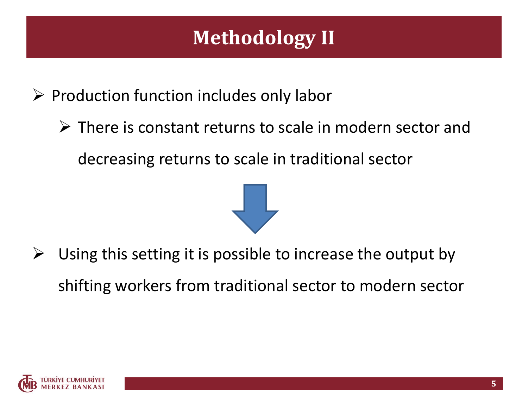## **Methodology II**

 $\triangleright$  Production function includes only labor

 There is constant returns to scale in modern sector and decreasing returns to scale in traditional sector



 Using this setting it is possible to increase the output by shifting workers from traditional sector to modern sector

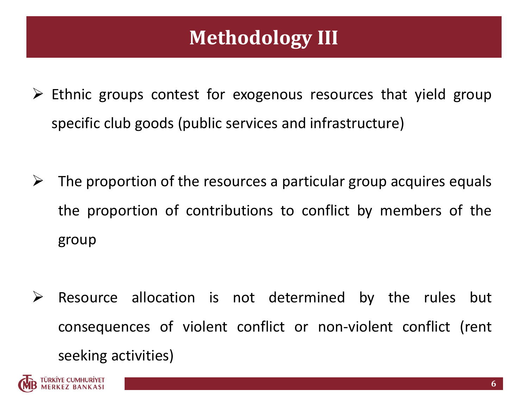## **Methodology III**

- $\triangleright$  Ethnic groups contest for exogenous resources that yield group specific club goods (public services and infrastructure)
- $\triangleright$  The proportion of the resources a particular group acquires equals the proportion of contributions to conflict by members of the group
- $\triangleright$  Resource allocation is not determined by the rules but consequences of violent conflict or non-violent conflict (rent seeking activities)

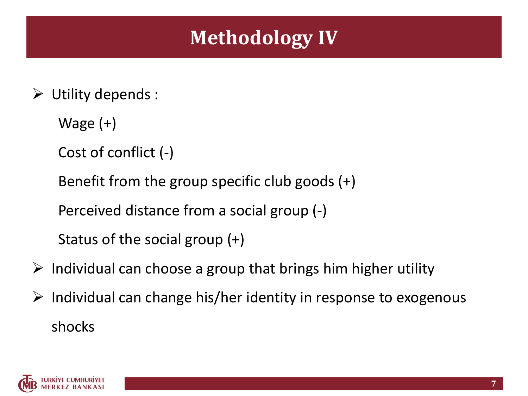#### **Methodology IV**

- $\triangleright$  Utility depends :
	- Wage (+)
	- Cost of conflict (-)
	- Benefit from the group specific club goods (+)
	- Perceived distance from a social group (-)
	- Status of the social group (+)
- $\triangleright$  Individual can choose a group that brings him higher utility
- $\triangleright$  Individual can change his/her identity in response to exogenous shocks

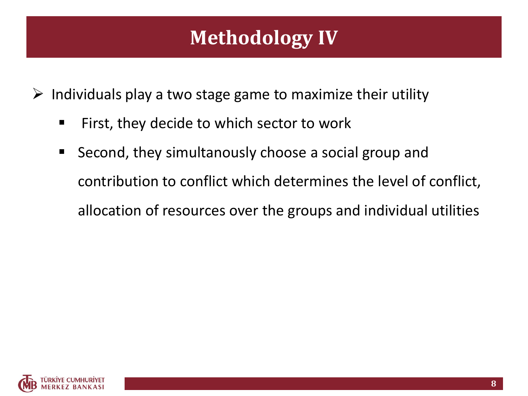#### **Methodology IV**

 $\triangleright$  Individuals play a two stage game to maximize their utility

- First, they decide to which sector to work
- **Second, they simultanously choose a social group and** contribution to conflict which determines the level of conflict, allocation of resources over the groups and individual utilities

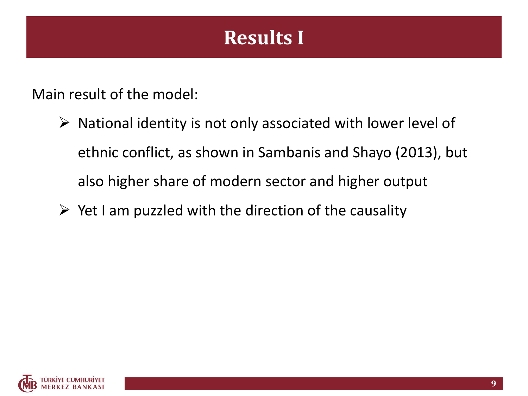### **Results I**

Main result of the model:

- $\triangleright$  National identity is not only associated with lower level of ethnic conflict, as shown in Sambanis and Shayo (2013), but also higher share of modern sector and higher output
- $\triangleright$  Yet I am puzzled with the direction of the causality

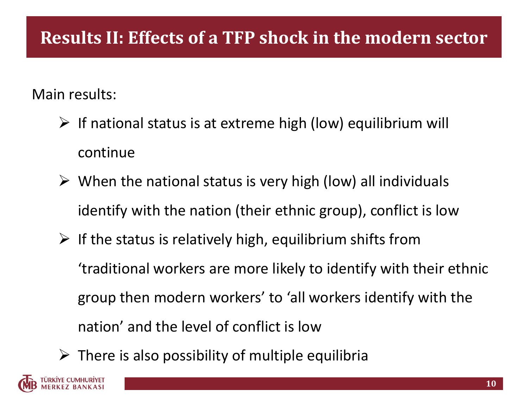#### **Results II: Effects of a TFP shock in the modern sector**

#### Main results:

- $\triangleright$  If national status is at extreme high (low) equilibrium will continue
- $\triangleright$  When the national status is very high (low) all individuals identify with the nation (their ethnic group), conflict is low
- $\triangleright$  If the status is relatively high, equilibrium shifts from 'traditional workers are more likely to identify with their ethnic group then modern workers' to 'all workers identify with the nation' and the level of conflict is low
- $\triangleright$  There is also possibility of multiple equilibria

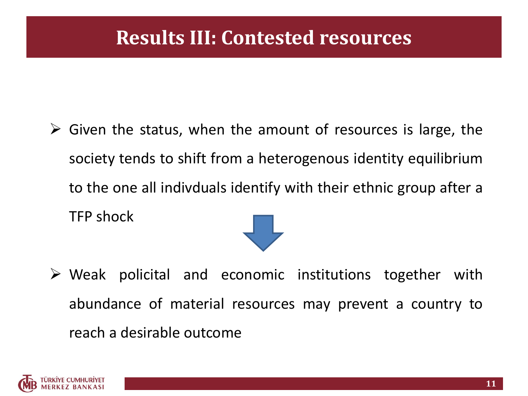#### **Results III: Contested resources**

- $\triangleright$  Given the status, when the amount of resources is large, the society tends to shift from a heterogenous identity equilibrium to the one all indivduals identify with their ethnic group after a TFP shock
- $\triangleright$  Weak policital and economic institutions together with abundance of material resources may prevent a country to reach a desirable outcome